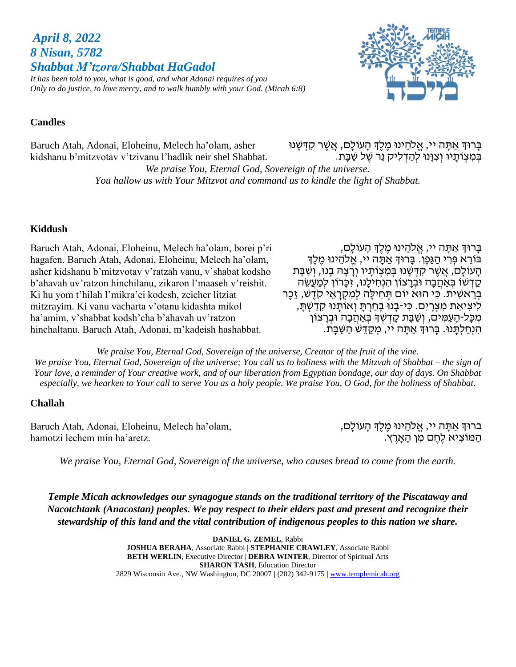*Shabbat M'tzora/Shabbat HaGadol It has been told to you, what is good, and what Adonai requires of you Only to do justice, to love mercy, and to walk humbly with your God. (Micah 6:8)*



#### **Candles**

*April 8, 2022 8 Nisan, 5782*

Baruch Atah, Adonai, Eloheinu, Melech ha'olam, asher kidshanu b'mitzvotav v'tzivanu l'hadlik neir shel Shabbat. ּבְּרוּדְ אַתָּה יי, אֱלֹהֵינוּ מֶלֶדְ הָעוֹלָם, אֲשֶׁר קִדְּשָׁנוּ ֹבְּמִצְוֹתָיו וְצִנְּנוּ לְהַדְלִיק נֵר שֶׁל שַׁבָּת.

*We praise You, Eternal God, Sovereign of the universe. You hallow us with Your Mitzvot and command us to kindle the light of Shabbat.*

#### **Kiddush**

Baruch Atah, Adonai, Eloheinu, Melech ha'olam, borei p'ri hagafen. Baruch Atah, Adonai, Eloheinu, Melech ha'olam, asher kidshanu b'mitzvotav v'ratzah vanu, v'shabat kodsho b'ahavah uv'ratzon hinchilanu, zikaron l'maaseh v'reishit. Ki hu yom t'hilah l'mikra'ei kodesh, zeicher litziat mitzrayim. Ki vanu vacharta v'otanu kidashta mikol ha'amim, v'shabbat kodsh'cha b'ahavah uv'ratzon hinchaltanu. Baruch Atah, Adonai, m'kadeish hashabbat.

בָּרוּדְ אַתָּה יי, אֱלֹהֵינוּ מֵלֵדְ הָעוֹלָם, בּוֹרֵא פִּרְי הַגַּפֵן. בַּרוּךְ אַתָּה יי, אֱלֹהֵינוּ מֶלֶךְ הָעוֹלָם, אֲשֶׁר קִדְּשָׁנוּ בִּמִצְוֹתָיו וְרָצָה בָנוּ, וְשַׁבָּת קַדְּשׁוֹ בְּאַהֲבָה וּבְרַצוֹן הִנְחִילֵנוּ, זִכֲרוֹן לִמַעֲשֶׂה בְּרֵאשִׁית. כִּי הוּא יוֹם תְּחִילַה לִמְקְרַאֵי קֹדֵשׁ, זֶכֶר לִיצִיאַת מִצְרָיִם. כִּי-בָנוּ בָחַרְתַּ וְאוֹתֲנוּ קִדַשְׁתַּ, מִכָּל-הָעַמִּים, וְשַׁבָּת קָדְשְׁךָּ בְּאַהֲבָה וּבְרָצוֹן הִנְחַלְתָּנוּ. בָּרוּךְ אַתָּה יי, מִקַדֵּשׁ הַשַּׁבַּת.

*We praise You, Eternal God, Sovereign of the universe, Creator of the fruit of the vine. We praise You, Eternal God, Sovereign of the universe; You call us to holiness with the Mitzvah of Shabbat – the sign of Your love, a reminder of Your creative work, and of our liberation from Egyptian bondage, our day of days. On Shabbat especially, we hearken to Your call to serve You as a holy people. We praise You, O God, for the holiness of Shabbat.*

#### **Challah**

Baruch Atah, Adonai, Eloheinu, Melech ha'olam, hamotzi lechem min ha'aretz.

ברוּךְ אַתָּה יי, אֱלֹהֵינוּ מֶלֶךְ הָעוֹלָם, הַ מֹוצִ יא לֶחֶ ם מִ ן הָּ אָּ רֶ ץ.

*We praise You, Eternal God, Sovereign of the universe, who causes bread to come from the earth.*

*Temple Micah acknowledges our synagogue stands on the traditional territory of the Piscataway and Nacotchtank (Anacostan) peoples. We pay respect to their elders past and present and recognize their stewardship of this land and the vital contribution of indigenous peoples to this nation we share.*

> **DANIEL G. ZEMEL**, Rabbi **JOSHUA BERAHA**, Associate Rabbi **| STEPHANIE CRAWLEY**, Associate Rabbi **BETH WERLIN**, Executive Director | **DEBRA WINTER**, Director of Spiritual Arts **SHARON TASH**, Education Director 2829 Wisconsin Ave., NW Washington, DC 20007 **|** (202) 342-9175 **|** [www.templemicah.org](http://www.templemicah.org/)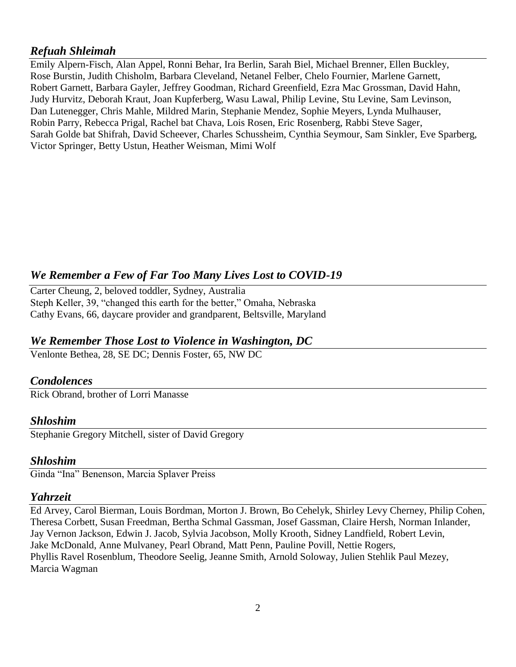## *Refuah Shleimah*

Emily Alpern-Fisch, Alan Appel, Ronni Behar, Ira Berlin, Sarah Biel, Michael Brenner, Ellen Buckley, Rose Burstin, Judith Chisholm, Barbara Cleveland, Netanel Felber, Chelo Fournier, Marlene Garnett, Robert Garnett, Barbara Gayler, Jeffrey Goodman, Richard Greenfield, Ezra Mac Grossman, David Hahn, Judy Hurvitz, Deborah Kraut, Joan Kupferberg, Wasu Lawal, Philip Levine, Stu Levine, Sam Levinson, Dan Lutenegger, Chris Mahle, Mildred Marin, Stephanie Mendez, Sophie Meyers, Lynda Mulhauser, Robin Parry, Rebecca Prigal, Rachel bat Chava, Lois Rosen, Eric Rosenberg, Rabbi Steve Sager, Sarah Golde bat Shifrah, David Scheever, Charles Schussheim, Cynthia Seymour, Sam Sinkler, Eve Sparberg, Victor Springer, Betty Ustun, Heather Weisman, Mimi Wolf

# *We Remember a Few of Far Too Many Lives Lost to COVID-19*

Carter Cheung, 2, beloved toddler, Sydney, Australia Steph Keller, 39, "changed this earth for the better," Omaha, Nebraska Cathy Evans, 66, daycare provider and grandparent, Beltsville, Maryland

## *We Remember Those Lost to Violence in Washington, DC*

Venlonte Bethea, 28, SE DC; Dennis Foster, 65, NW DC

### *Condolences*

Rick Obrand, brother of Lorri Manasse

### *Shloshim*

Stephanie Gregory Mitchell, sister of David Gregory

### *Shloshim*

Ginda "Ina" Benenson, Marcia Splaver Preiss

## *Yahrzeit*

Ed Arvey, Carol Bierman, Louis Bordman, Morton J. Brown, Bo Cehelyk, Shirley Levy Cherney, Philip Cohen, Theresa Corbett, Susan Freedman, Bertha Schmal Gassman, Josef Gassman, Claire Hersh, Norman Inlander, Jay Vernon Jackson, Edwin J. Jacob, Sylvia Jacobson, Molly Krooth, Sidney Landfield, Robert Levin, Jake McDonald, Anne Mulvaney, Pearl Obrand, Matt Penn, Pauline Povill, Nettie Rogers, Phyllis Ravel Rosenblum, Theodore Seelig, Jeanne Smith, Arnold Soloway, Julien Stehlik Paul Mezey, Marcia Wagman